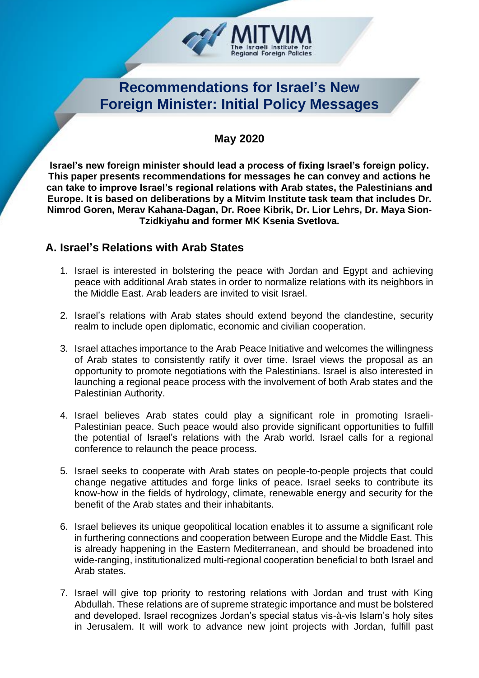

# **Recommendations for Israel's New Foreign Minister: Initial Policy Messages**

## **May 2020**

**Israel's new foreign minister should lead a process of fixing Israel's foreign policy. This paper presents recommendations for messages he can convey and actions he can take to improve Israel's regional relations with Arab states, the Palestinians and Europe. It is based on deliberations by a Mitvim Institute task team that includes Dr. Nimrod Goren, Merav Kahana-Dagan, Dr. Roee Kibrik, Dr. Lior Lehrs, Dr. Maya Sion-Tzidkiyahu and former MK Ksenia Svetlova.**

### **A. Israel's Relations with Arab States**

- 1. Israel is interested in bolstering the peace with Jordan and Egypt and achieving peace with additional Arab states in order to normalize relations with its neighbors in the Middle East. Arab leaders are invited to visit Israel.
- 2. Israel's relations with Arab states should extend beyond the clandestine, security realm to include open diplomatic, economic and civilian cooperation.
- 3. Israel attaches importance to the Arab Peace Initiative and welcomes the willingness of Arab states to consistently ratify it over time. Israel views the proposal as an opportunity to promote negotiations with the Palestinians. Israel is also interested in launching a regional peace process with the involvement of both Arab states and the Palestinian Authority.
- 4. Israel believes Arab states could play a significant role in promoting Israeli-Palestinian peace. Such peace would also provide significant opportunities to fulfill the potential of Israel's relations with the Arab world. Israel calls for a regional conference to relaunch the peace process.
- 5. Israel seeks to cooperate with Arab states on people-to-people projects that could change negative attitudes and forge links of peace. Israel seeks to contribute its know-how in the fields of hydrology, climate, renewable energy and security for the benefit of the Arab states and their inhabitants.
- 6. Israel believes its unique geopolitical location enables it to assume a significant role in furthering connections and cooperation between Europe and the Middle East. This is already happening in the Eastern Mediterranean, and should be broadened into wide-ranging, institutionalized multi-regional cooperation beneficial to both Israel and Arab states.
- 7. Israel will give top priority to restoring relations with Jordan and trust with King Abdullah. These relations are of supreme strategic importance and must be bolstered and developed. Israel recognizes Jordan's special status vis-à-vis Islam's holy sites in Jerusalem. It will work to advance new joint projects with Jordan, fulfill past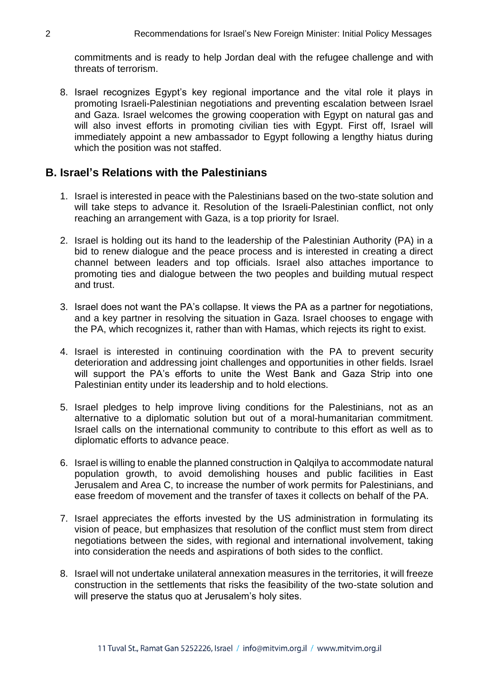commitments and is ready to help Jordan deal with the refugee challenge and with threats of terrorism.

8. Israel recognizes Egypt's key regional importance and the vital role it plays in promoting Israeli-Palestinian negotiations and preventing escalation between Israel and Gaza. Israel welcomes the growing cooperation with Egypt on natural gas and will also invest efforts in promoting civilian ties with Egypt. First off, Israel will immediately appoint a new ambassador to Egypt following a lengthy hiatus during which the position was not staffed.

#### **B. Israel's Relations with the Palestinians**

- 1. Israel is interested in peace with the Palestinians based on the two-state solution and will take steps to advance it. Resolution of the Israeli-Palestinian conflict, not only reaching an arrangement with Gaza, is a top priority for Israel.
- 2. Israel is holding out its hand to the leadership of the Palestinian Authority (PA) in a bid to renew dialogue and the peace process and is interested in creating a direct channel between leaders and top officials. Israel also attaches importance to promoting ties and dialogue between the two peoples and building mutual respect and trust.
- 3. Israel does not want the PA's collapse. It views the PA as a partner for negotiations, and a key partner in resolving the situation in Gaza. Israel chooses to engage with the PA, which recognizes it, rather than with Hamas, which rejects its right to exist.
- 4. Israel is interested in continuing coordination with the PA to prevent security deterioration and addressing joint challenges and opportunities in other fields. Israel will support the PA's efforts to unite the West Bank and Gaza Strip into one Palestinian entity under its leadership and to hold elections.
- 5. Israel pledges to help improve living conditions for the Palestinians, not as an alternative to a diplomatic solution but out of a moral-humanitarian commitment. Israel calls on the international community to contribute to this effort as well as to diplomatic efforts to advance peace.
- 6. Israel is willing to enable the planned construction in Qalqilya to accommodate natural population growth, to avoid demolishing houses and public facilities in East Jerusalem and Area C, to increase the number of work permits for Palestinians, and ease freedom of movement and the transfer of taxes it collects on behalf of the PA.
- 7. Israel appreciates the efforts invested by the US administration in formulating its vision of peace, but emphasizes that resolution of the conflict must stem from direct negotiations between the sides, with regional and international involvement, taking into consideration the needs and aspirations of both sides to the conflict.
- 8. Israel will not undertake unilateral annexation measures in the territories, it will freeze construction in the settlements that risks the feasibility of the two-state solution and will preserve the status quo at Jerusalem's holy sites.